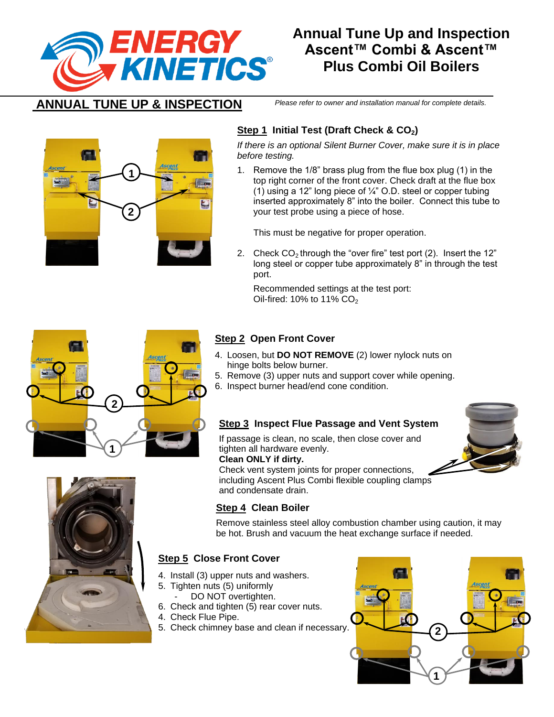

# **Annual Tune Up and Inspection Ascent™ Combi & Ascent™ Plus Combi Oil Boilers**

## **ANNUAL TUNE UP & INSPECTION**

*Please refer to owner and installation manual for complete details.*



### **Step 1 Initial Test (Draft Check & CO2)**

*If there is an optional Silent Burner Cover, make sure it is in place before testing.*

1. Remove the 1/8" brass plug from the flue box plug (1) in the top right corner of the front cover. Check draft at the flue box (1) using a 12" long piece of  $\frac{1}{4}$ " O.D. steel or copper tubing inserted approximately 8" into the boiler. Connect this tube to your test probe using a piece of hose.

This must be negative for proper operation.

2. Check  $CO<sub>2</sub>$  through the "over fire" test port (2). Insert the 12" long steel or copper tube approximately 8" in through the test port.

Recommended settings at the test port: Oil-fired: 10% to 11%  $CO<sub>2</sub>$ 



### **Step 2 Open Front Cover**

- 4. Loosen, but **DO NOT REMOVE** (2) lower nylock nuts on hinge bolts below burner.
- 5. Remove (3) upper nuts and support cover while opening.
- 6. Inspect burner head/end cone condition.

#### **Step 3 Inspect Flue Passage and Vent System**

If passage is clean, no scale, then close cover and tighten all hardware evenly. **Clean ONLY if dirty.**

Check vent system joints for proper connections, including Ascent Plus Combi flexible coupling clamps and condensate drain.



#### **Step 4 Clean Boiler**

Remove stainless steel alloy combustion chamber using caution, it may be hot. Brush and vacuum the heat exchange surface if needed.

### **Step 5 Close Front Cover**

- 4. Install (3) upper nuts and washers.
- 5. Tighten nuts (5) uniformly
- DO NOT overtighten.
- 6. Check and tighten (5) rear cover nuts.
- 4. Check Flue Pipe.
- 5. Check chimney base and clean if necessary.



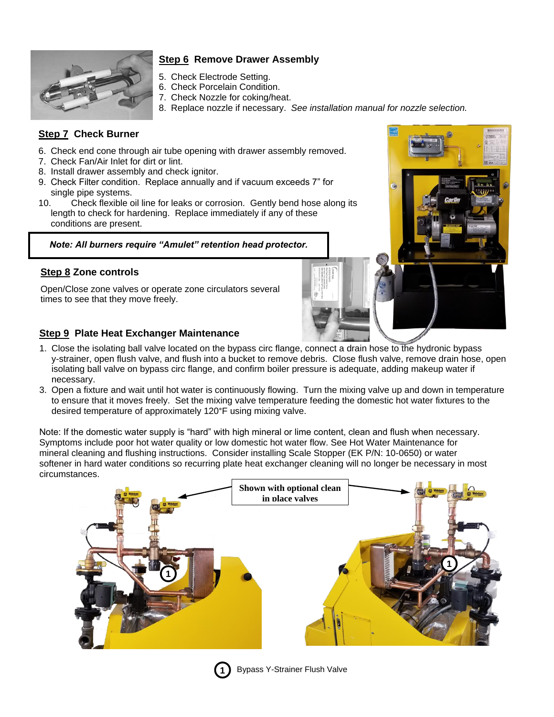

#### **Step 6 Remove Drawer Assembly**

- 5. Check Electrode Setting.
- 6. Check Porcelain Condition.
- 7. Check Nozzle for coking/heat.
- 8. Replace nozzle if necessary. *See installation manual for nozzle selection.*

#### **Step 7 Check Burner**

- 6. Check end cone through air tube opening with drawer assembly removed.
- 7. Check Fan/Air Inlet for dirt or lint.
- 8. Install drawer assembly and check ignitor.
- 9. Check Filter condition. Replace annually and if vacuum exceeds 7" for single pipe systems.
- 10. Check flexible oil line for leaks or corrosion. Gently bend hose along its length to check for hardening. Replace immediately if any of these conditions are present.

*Note: All burners require "Amulet" retention head protector.*

#### **Step 8 Zone controls**

Open/Close zone valves or operate zone circulators several times to see that they move freely.

#### **Step 9 Plate Heat Exchanger Maintenance**

- 1. Close the isolating ball valve located on the bypass circ flange, connect a drain hose to the hydronic bypass y-strainer, open flush valve, and flush into a bucket to remove debris. Close flush valve, remove drain hose, open isolating ball valve on bypass circ flange, and confirm boiler pressure is adequate, adding makeup water if necessary.
- 3. Open a fixture and wait until hot water is continuously flowing. Turn the mixing valve up and down in temperature to ensure that it moves freely. Set the mixing valve temperature feeding the domestic hot water fixtures to the desired temperature of approximately 120°F using mixing valve.

Note: If the domestic water supply is "hard" with high mineral or lime content, clean and flush when necessary. Symptoms include poor hot water quality or low domestic hot water flow. See Hot Water Maintenance for mineral cleaning and flushing instructions. Consider installing Scale Stopper (EK P/N: 10-0650) or water softener in hard water conditions so recurring plate heat exchanger cleaning will no longer be necessary in most circumstances.